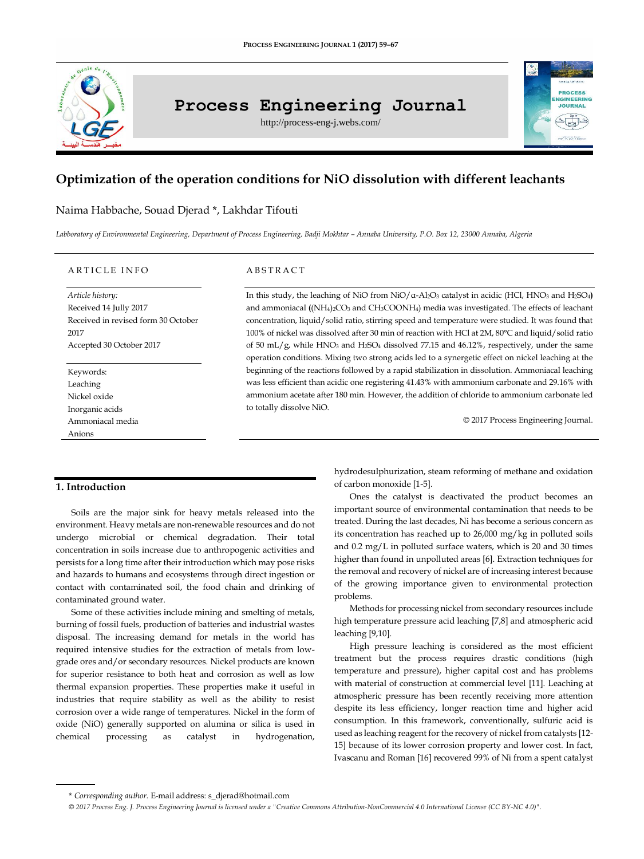

# **Process Engineering Journal**

http://process-eng-j.webs.com/

# **Optimization of the operation conditions for NiO dissolution with different leachants**

# Naima Habbache, Souad Djerad \*, Lakhdar Tifouti

Labboratory of Environmental Engineering, Department of Process Engineering, Badji Mokhtar - Annaba University, P.O. Box 12, 23000 Annaba, Algeria

## A R T I C L E IN FO

*Article history:* Received 14 Jully 2017 Received in revised form 30 October 2017 Accepted 30 October 2017

Keywords: Leaching Nickel oxide Inorganic acids Ammoniacal media Anions

#### A B S T R A C T

In this study, the leaching of NiO from NiO/α-Al2O<sup>3</sup> catalyst in acidic (HCl, HNO<sup>3</sup> and H2SO4**)**  and ammoniacal **(**(NH4)2CO<sup>3</sup> and CH3COONH4) media was investigated. The effects of leachant concentration, liquid/solid ratio, stirring speed and temperature were studied. It was found that 100% of nickel was dissolved after 30 min of reaction with HCl at 2M, 80°C and liquid/solid ratio of 50 mL/g, while HNO<sup>3</sup> and H2SO<sup>4</sup> dissolved 77.15 and 46.12%, respectively, under the same operation conditions. Mixing two strong acids led to a synergetic effect on nickel leaching at the beginning of the reactions followed by a rapid stabilization in dissolution. Ammoniacal leaching was less efficient than acidic one registering 41.43% with ammonium carbonate and 29.16% with ammonium acetate after 180 min. However, the addition of chloride to ammonium carbonate led to totally dissolve NiO.

© 2017 Process Engineering Journal.

**IGINEERING IOUPMAL** 

# **1. Introduction**

Soils are the major sink for heavy metals released into the environment. Heavy metals are non-renewable resources and do not undergo microbial or chemical degradation. Their total concentration in soils increase due to anthropogenic activities and persists for a long time after their introduction which may pose risks and hazards to humans and ecosystems through direct ingestion or contact with contaminated soil, the food chain and drinking of contaminated ground water.

Some of these activities include mining and smelting of metals, burning of fossil fuels, production of batteries and industrial wastes disposal. The increasing demand for metals in the world has required intensive studies for the extraction of metals from lowgrade ores and/or secondary resources. Nickel products are known for superior resistance to both heat and corrosion as well as low thermal expansion properties. These properties make it useful in industries that require stability as well as the ability to resist corrosion over a wide range of temperatures. Nickel in the form of oxide (NiO) generally supported on alumina or silica is used in chemical processing as catalyst in hydrogenation, hydrodesulphurization, steam reforming of methane and oxidation of carbon monoxide [1-5].

Ones the catalyst is deactivated the product becomes an important source of environmental contamination that needs to be treated. During the last decades, Ni has become a serious concern as its concentration has reached up to 26,000 mg/kg in polluted soils and 0.2 mg/L in polluted surface waters, which is 20 and 30 times higher than found in unpolluted areas [6]. Extraction techniques for the removal and recovery of nickel are of increasing interest because of the growing importance given to environmental protection problems.

Methods for processing nickel from secondary resources include high temperature pressure acid leaching [7,8] and atmospheric acid leaching [9,10].

High pressure leaching is considered as the most efficient treatment but the process requires drastic conditions (high temperature and pressure), higher capital cost and has problems with material of construction at commercial level [11]. Leaching at atmospheric pressure has been recently receiving more attention despite its less efficiency, longer reaction time and higher acid consumption. In this framework, conventionally, sulfuric acid is used as leaching reagent for the recovery of nickel from catalysts [12- 15] because of its lower corrosion property and lower cost. In fact, Ivascanu and Roman [16] recovered 99% of Ni from a spent catalyst

<sup>\*</sup> *Corresponding author.* E-mail address[: s\\_djerad@hotmail.com](mailto:s_djerad@hotmail.com)

*<sup>© 2017</sup> Process Eng. J. Process Engineering Journal is licensed under [a "Creative Commons Attribution-NonCommercial 4.0 International License \(CC BY-NC 4.0\)".](https://creativecommons.org/licenses/by-nc/4.0/)*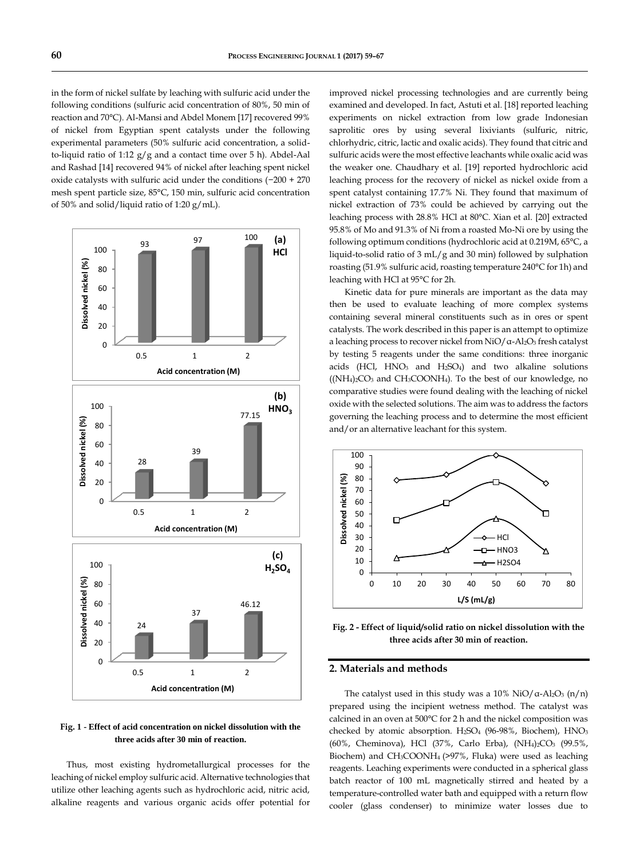in the form of nickel sulfate by leaching with sulfuric acid under the following conditions (sulfuric acid concentration of 80%, 50 min of reaction and 70°C). Al-Mansi and Abdel Monem [17] recovered 99% of nickel from Egyptian spent catalysts under the following experimental parameters (50% sulfuric acid concentration, a solidto-liquid ratio of 1:12  $g/g$  and a contact time over 5 h). Abdel-Aal and Rashad [14] recovered 94% of nickel after leaching spent nickel oxide catalysts with sulfuric acid under the conditions (−200 + 270 mesh spent particle size, 85°C, 150 min, sulfuric acid concentration of 50% and solid/liquid ratio of 1:20 g/mL).



**Fig. 1 - Effect of acid concentration on nickel dissolution with the three acids after 30 min of reaction.**

Thus, most existing hydrometallurgical processes for the leaching of nickel employ sulfuric acid. Alternative technologies that utilize other leaching agents such as hydrochloric acid, nitric acid, alkaline reagents and various organic acids offer potential for improved nickel processing technologies and are currently being examined and developed. In fact, Astuti et al. [18] reported leaching experiments on nickel extraction from low grade Indonesian saprolitic ores by using several lixiviants (sulfuric, nitric, chlorhydric, citric, lactic and oxalic acids). They found that citric and sulfuric acids were the most effective leachants while oxalic acid was the weaker one. Chaudhary et al. [19] reported hydrochloric acid leaching process for the recovery of nickel as nickel oxide from a spent catalyst containing 17.7% Ni. They found that maximum of nickel extraction of 73% could be achieved by carrying out the leaching process with 28.8% HCl at 80°C. Xian et al. [20] extracted 95.8% of Mo and 91.3% of Ni from a roasted Mo-Ni ore by using the following optimum conditions (hydrochloric acid at 0.219M, 65°C, a liquid-to-solid ratio of 3 mL/g and 30 min) followed by sulphation roasting (51.9% sulfuric acid, roasting temperature 240°C for 1h) and leaching with HCl at 95°C for 2h.

Kinetic data for pure minerals are important as the data may then be used to evaluate leaching of more complex systems containing several mineral constituents such as in ores or spent catalysts. The work described in this paper is an attempt to optimize a leaching process to recover nickel from NiO/α-Al2O<sup>3</sup> fresh catalyst by testing 5 reagents under the same conditions: three inorganic acids (HCl, HNO<sup>3</sup> and H2SO4) and two alkaline solutions ((NH4)2CO<sup>3</sup> and CH3COONH4). To the best of our knowledge, no comparative studies were found dealing with the leaching of nickel oxide with the selected solutions. The aim was to address the factors governing the leaching process and to determine the most efficient and/or an alternative leachant for this system.



**Fig. 2 - Effect of liquid/solid ratio on nickel dissolution with the three acids after 30 min of reaction.**

# **2. Materials and methods**

The catalyst used in this study was a 10% NiO/ $\alpha$ -Al<sub>2</sub>O<sub>3</sub> (n/n) prepared using the incipient wetness method. The catalyst was calcined in an oven at 500°C for 2 h and the nickel composition was checked by atomic absorption. H2SO<sup>4</sup> (96-98%, Biochem), HNO<sup>3</sup> (60%, Cheminova), HCl (37%, Carlo Erba), (NH4)2CO<sup>3</sup> (99.5%, Biochem) and CH3COONH4 (>97%, Fluka) were used as leaching reagents. Leaching experiments were conducted in a spherical glass batch reactor of 100 mL magnetically stirred and heated by a temperature-controlled water bath and equipped with a return flow cooler (glass condenser) to minimize water losses due to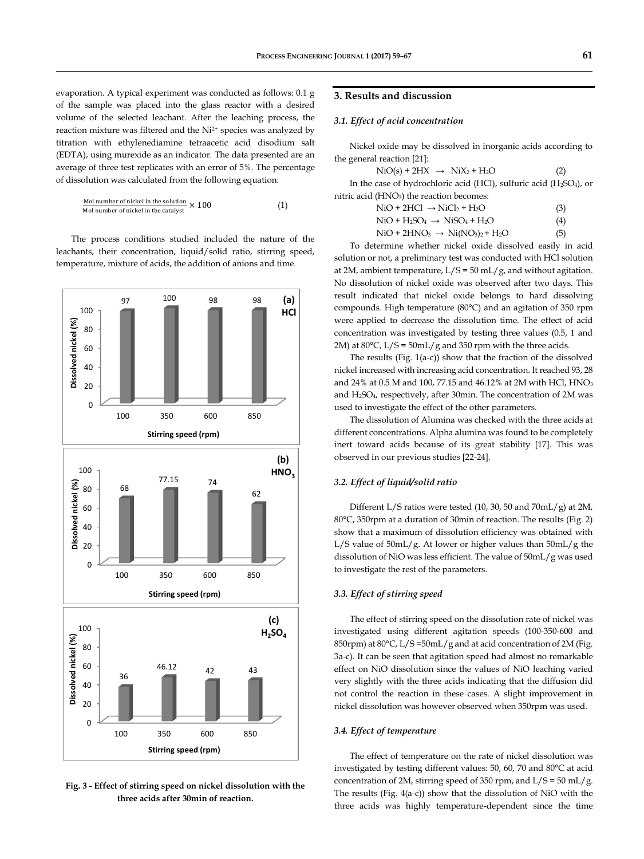evaporation. A typical experiment was conducted as follows: 0.1 g of the sample was placed into the glass reactor with a desired volume of the selected leachant. After the leaching process, the reaction mixture was filtered and the Ni2+ species was analyzed by titration with ethylenediamine tetraacetic acid disodium salt (EDTA), using murexide as an indicator. The data presented are an average of three test replicates with an error of 5%. The percentage of dissolution was calculated from the following equation:

| <b>Mol number of nickel in the solution</b> | $\times$ 100 | (1) |
|---------------------------------------------|--------------|-----|
| <b>Mol number of nickel in the catalyst</b> | $\times$ 100 |     |

The process conditions studied included the nature of the leachants, their concentration, liquid/solid ratio, stirring speed, temperature, mixture of acids, the addition of anions and time.



**Fig. 3 - Effect of stirring speed on nickel dissolution with the three acids after 30min of reaction.**

# **3. Results and discussion**

#### *3.1. Effect of acid concentration*

Nickel oxide may be dissolved in inorganic acids according to the general reaction [21]:

| $NiO(s) + 2HX \rightarrow NiX_2 + H_2O$                                                     | (2) |
|---------------------------------------------------------------------------------------------|-----|
| In the case of hydrochloric acid (HCl), sulfuric acid (H <sub>2</sub> SO <sub>4</sub> ), or |     |
| nitric acid (HNO <sub>3</sub> ) the reaction becomes:                                       |     |

$$
\text{NiO} + 2\text{HCl} \rightarrow \text{NiCl}_2 + \text{H}_2\text{O} \tag{3}
$$

$$
\text{NiO} + \text{H}_2\text{SO}_4 \rightarrow \text{NiSO}_4 + \text{H}_2\text{O} \tag{4}
$$

 $NiO + 2HNO<sub>3</sub> \rightarrow Ni(NO<sub>3</sub>)<sub>2</sub> + H<sub>2</sub>O$  (5)

To determine whether nickel oxide dissolved easily in acid solution or not, a preliminary test was conducted with HCl solution at 2M, ambient temperature,  $L/S = 50$  mL/g, and without agitation. No dissolution of nickel oxide was observed after two days. This result indicated that nickel oxide belongs to hard dissolving compounds. High temperature (80°C) and an agitation of 350 rpm were applied to decrease the dissolution time. The effect of acid concentration was investigated by testing three values (0.5, 1 and 2M) at  $80^{\circ}$ C, L/S =  $50$ mL/g and 350 rpm with the three acids.

The results (Fig. 1(a-c)) show that the fraction of the dissolved nickel increased with increasing acid concentration. It reached 93, 28 and 24% at 0.5 M and 100, 77.15 and 46.12% at 2M with HCl, HNO<sub>3</sub> and H2SO4, respectively, after 30min. The concentration of 2M was used to investigate the effect of the other parameters.

The dissolution of Alumina was checked with the three acids at different concentrations. Alpha alumina was found to be completely inert toward acids because of its great stability [17]. This was observed in our previous studies [22-24].

## *3.2. Effect of liquid/solid ratio*

Different L/S ratios were tested (10, 30, 50 and 70mL/g) at 2M, 80°C, 350rpm at a duration of 30min of reaction. The results (Fig. 2) show that a maximum of dissolution efficiency was obtained with L/S value of 50mL/g. At lower or higher values than 50mL/g the dissolution of NiO was less efficient. The value of 50mL/g was used to investigate the rest of the parameters.

#### *3.3. Effect of stirring speed*

The effect of stirring speed on the dissolution rate of nickel was investigated using different agitation speeds (100-350-600 and 850rpm) at 80°C, L/S =50mL/g and at acid concentration of 2M (Fig. 3a-c). It can be seen that agitation speed had almost no remarkable effect on NiO dissolution since the values of NiO leaching varied very slightly with the three acids indicating that the diffusion did not control the reaction in these cases. A slight improvement in nickel dissolution was however observed when 350rpm was used.

#### *3.4. Effect of temperature*

The effect of temperature on the rate of nickel dissolution was investigated by testing different values: 50, 60, 70 and 80°C at acid concentration of 2M, stirring speed of 350 rpm, and  $L/S = 50$  mL/g. The results (Fig. 4(a-c)) show that the dissolution of NiO with the three acids was highly temperature-dependent since the time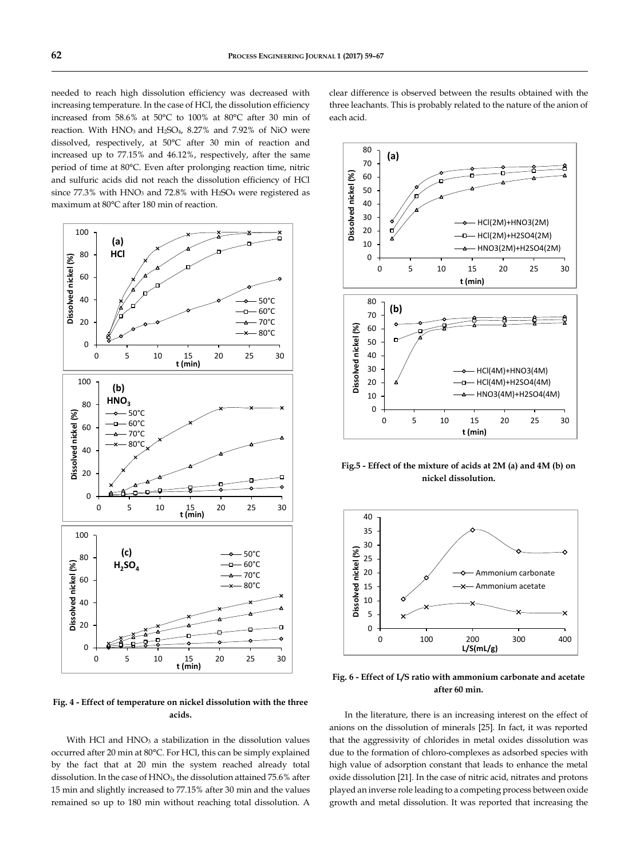needed to reach high dissolution efficiency was decreased with increasing temperature. In the case of HCl, the dissolution efficiency increased from 58.6% at 50°C to 100% at 80°C after 30 min of reaction. With  $HNO<sub>3</sub>$  and  $H<sub>2</sub>SO<sub>4</sub>$ , 8.27% and 7.92% of NiO were dissolved, respectively, at 50°C after 30 min of reaction and increased up to 77.15% and 46.12%, respectively, after the same period of time at 80°C. Even after prolonging reaction time, nitric and sulfuric acids did not reach the dissolution efficiency of HCl since  $77.3\%$  with  $HNO<sub>3</sub>$  and  $72.8\%$  with  $H<sub>2</sub>SO<sub>4</sub>$  were registered as maximum at 80°C after 180 min of reaction.



**Fig. 4 - Effect of temperature on nickel dissolution with the three acids.**

With HCl and HNO<sub>3</sub> a stabilization in the dissolution values occurred after 20 min at 80°C. For HCl, this can be simply explained by the fact that at 20 min the system reached already total dissolution. In the case of HNO<sub>3</sub>, the dissolution attained 75.6% after 15 min and slightly increased to 77.15% after 30 min and the values remained so up to 180 min without reaching total dissolution. A clear difference is observed between the results obtained with the three leachants. This is probably related to the nature of the anion of each acid.



**Fig.5 - Effect of the mixture of acids at 2M (a) and 4M (b) on nickel dissolution.**



**Fig. 6 - Effect of L/S ratio with ammonium carbonate and acetate after 60 min.**

In the literature, there is an increasing interest on the effect of anions on the dissolution of minerals [25]. In fact, it was reported that the aggressivity of chlorides in metal oxides dissolution was due to the formation of chloro-complexes as adsorbed species with high value of adsorption constant that leads to enhance the metal oxide dissolution [21]. In the case of nitric acid, nitrates and protons played an inverse role leading to a competing process between oxide growth and metal dissolution. It was reported that increasing the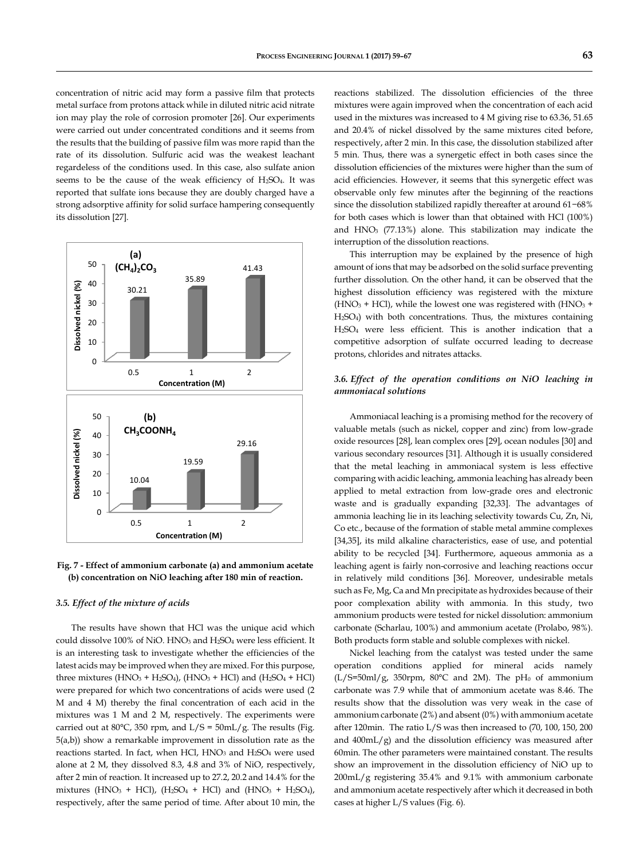concentration of nitric acid may form a passive film that protects metal surface from protons attack while in diluted nitric acid nitrate ion may play the role of corrosion promoter [26]. Our experiments were carried out under concentrated conditions and it seems from the results that the building of passive film was more rapid than the rate of its dissolution. Sulfuric acid was the weakest leachant regardeless of the conditions used. In this case, also sulfate anion seems to be the cause of the weak efficiency of  $H<sub>2</sub>SO<sub>4</sub>$ . It was reported that sulfate ions because they are doubly charged have a strong adsorptive affinity for solid surface hampering consequently its dissolution [27].



**Fig. 7 - Effect of ammonium carbonate (a) and ammonium acetate (b) concentration on NiO leaching after 180 min of reaction.**

#### *3.5. Effect of the mixture of acids*

The results have shown that HCl was the unique acid which could dissolve 100% of NiO. HNO<sup>3</sup> and H2SO<sup>4</sup> were less efficient. It is an interesting task to investigate whether the efficiencies of the latest acids may be improved when they are mixed. For this purpose, three mixtures  $(HNO<sub>3</sub> + H<sub>2</sub>SO<sub>4</sub>)$ ,  $(HNO<sub>3</sub> + HCl)$  and  $(H<sub>2</sub>SO<sub>4</sub> + HCl)$ were prepared for which two concentrations of acids were used (2 M and 4 M) thereby the final concentration of each acid in the mixtures was 1 M and 2 M, respectively. The experiments were carried out at 80°C, 350 rpm, and  $L/S = 50$ m $L/g$ . The results (Fig. 5(a,b)) show a remarkable improvement in dissolution rate as the reactions started. In fact, when HCl,  $HNO<sub>3</sub>$  and  $H<sub>2</sub>SO<sub>4</sub>$  were used alone at 2 M, they dissolved 8.3, 4.8 and 3% of NiO, respectively, after 2 min of reaction. It increased up to 27.2, 20.2 and 14.4% for the mixtures (HNO<sub>3</sub> + HCl), (H<sub>2</sub>SO<sub>4</sub> + HCl) and (HNO<sub>3</sub> + H<sub>2</sub>SO<sub>4</sub>), respectively, after the same period of time. After about 10 min, the reactions stabilized. The dissolution efficiencies of the three mixtures were again improved when the concentration of each acid used in the mixtures was increased to 4 M giving rise to 63.36, 51.65 and 20.4% of nickel dissolved by the same mixtures cited before, respectively, after 2 min. In this case, the dissolution stabilized after 5 min. Thus, there was a synergetic effect in both cases since the dissolution efficiencies of the mixtures were higher than the sum of acid efficiencies. However, it seems that this synergetic effect was observable only few minutes after the beginning of the reactions since the dissolution stabilized rapidly thereafter at around 61−68% for both cases which is lower than that obtained with HCl (100%) and  $HNO<sub>3</sub>$  (77.13%) alone. This stabilization may indicate the interruption of the dissolution reactions.

This interruption may be explained by the presence of high amount of ions that may be adsorbed on the solid surface preventing further dissolution. On the other hand, it can be observed that the highest dissolution efficiency was registered with the mixture (HNO<sub>3</sub> + HCl), while the lowest one was registered with (HNO<sub>3</sub> + H2SO4) with both concentrations. Thus, the mixtures containing H2SO<sup>4</sup> were less efficient. This is another indication that a competitive adsorption of sulfate occurred leading to decrease protons, chlorides and nitrates attacks.

# *3.6. Effect of the operation conditions on NiO leaching in ammoniacal solutions*

Ammoniacal leaching is a promising method for the recovery of valuable metals (such as nickel, copper and zinc) from low-grade oxide resources [28], lean complex ores [29], ocean nodules [30] and various secondary resources [31]. Although it is usually considered that the metal leaching in ammoniacal system is less effective comparing with acidic leaching, ammonia leaching has already been applied to metal extraction from low-grade ores and electronic waste and is gradually expanding [32,33]. The advantages of ammonia leaching lie in its leaching selectivity towards Cu, Zn, Ni, Co etc., because of the formation of stable metal ammine complexes [34,35], its mild alkaline characteristics, ease of use, and potential ability to be recycled [34]. Furthermore, aqueous ammonia as a leaching agent is fairly non-corrosive and leaching reactions occur in relatively mild conditions [36]. Moreover, undesirable metals such as Fe, Mg, Ca and Mn precipitate as hydroxides because of their poor complexation ability with ammonia. In this study, two ammonium products were tested for nickel dissolution: ammonium carbonate (Scharlau, 100%) and ammonium acetate (Prolabo, 98%). Both products form stable and soluble complexes with nickel.

Nickel leaching from the catalyst was tested under the same operation conditions applied for mineral acids namely  $(L/S=50m]/g$ , 350rpm, 80°C and 2M). The pH<sub>0</sub> of ammonium carbonate was 7.9 while that of ammonium acetate was 8.46. The results show that the dissolution was very weak in the case of ammonium carbonate (2%) and absent (0%) with ammonium acetate after 120min. The ratio L/S was then increased to (70, 100, 150, 200 and 400mL/g) and the dissolution efficiency was measured after 60min. The other parameters were maintained constant. The results show an improvement in the dissolution efficiency of NiO up to 200mL/g registering 35.4% and 9.1% with ammonium carbonate and ammonium acetate respectively after which it decreased in both cases at higher L/S values (Fig. 6).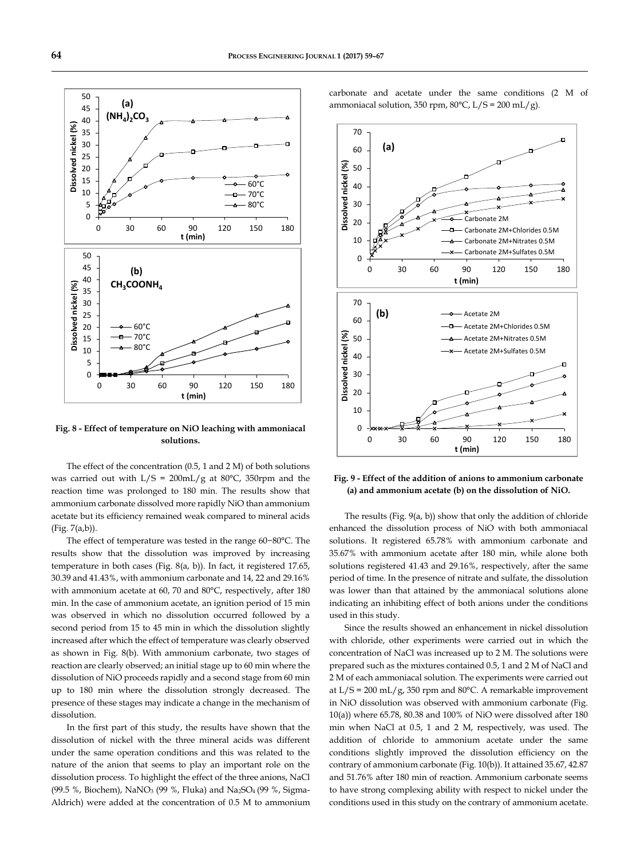

**Fig. 8 - Effect of temperature on NiO leaching with ammoniacal solutions.**

The effect of the concentration (0.5, 1 and 2 M) of both solutions was carried out with  $L/S = 200 \text{mL/g}$  at 80°C, 350rpm and the reaction time was prolonged to 180 min. The results show that ammonium carbonate dissolved more rapidly NiO than ammonium acetate but its efficiency remained weak compared to mineral acids (Fig. 7(a,b)).

The effect of temperature was tested in the range 60−80°C. The results show that the dissolution was improved by increasing temperature in both cases (Fig. 8(a, b)). In fact, it registered 17.65, 30.39 and 41.43%, with ammonium carbonate and 14, 22 and 29.16% with ammonium acetate at 60, 70 and 80°C, respectively, after 180 min. In the case of ammonium acetate, an ignition period of 15 min was observed in which no dissolution occurred followed by a second period from 15 to 45 min in which the dissolution slightly increased after which the effect of temperature was clearly observed as shown in Fig. 8(b). With ammonium carbonate, two stages of reaction are clearly observed; an initial stage up to 60 min where the dissolution of NiO proceeds rapidly and a second stage from 60 min up to 180 min where the dissolution strongly decreased. The presence of these stages may indicate a change in the mechanism of dissolution.

In the first part of this study, the results have shown that the dissolution of nickel with the three mineral acids was different under the same operation conditions and this was related to the nature of the anion that seems to play an important role on the dissolution process. To highlight the effect of the three anions, NaCl (99.5 %, Biochem), NaNO<sup>3</sup> (99 %, Fluka) and Na2SO4 (99 %, Sigma-Aldrich) were added at the concentration of 0.5 M to ammonium carbonate and acetate under the same conditions (2 M of ammoniacal solution, 350 rpm,  $80^{\circ}$ C, L/S = 200 mL/g).



**Fig. 9 - Effect of the addition of anions to ammonium carbonate (a) and ammonium acetate (b) on the dissolution of NiO.**

The results (Fig. 9(a, b)) show that only the addition of chloride enhanced the dissolution process of NiO with both ammoniacal solutions. It registered 65.78% with ammonium carbonate and 35.67% with ammonium acetate after 180 min, while alone both solutions registered 41.43 and 29.16%, respectively, after the same period of time. In the presence of nitrate and sulfate, the dissolution was lower than that attained by the ammoniacal solutions alone indicating an inhibiting effect of both anions under the conditions used in this study.

Since the results showed an enhancement in nickel dissolution with chloride, other experiments were carried out in which the concentration of NaCl was increased up to 2 M. The solutions were prepared such as the mixtures contained 0.5, 1 and 2 M of NaCl and 2 M of each ammoniacal solution. The experiments were carried out at  $L/S = 200$  m $L/g$ , 350 rpm and 80°C. A remarkable improvement in NiO dissolution was observed with ammonium carbonate (Fig. 10(a)) where 65.78, 80.38 and 100% of NiO were dissolved after 180 min when NaCl at 0.5, 1 and 2 M, respectively, was used. The addition of chloride to ammonium acetate under the same conditions slightly improved the dissolution efficiency on the contrary of ammonium carbonate (Fig. 10(b)). It attained 35.67, 42.87 and 51.76% after 180 min of reaction. Ammonium carbonate seems to have strong complexing ability with respect to nickel under the conditions used in this study on the contrary of ammonium acetate.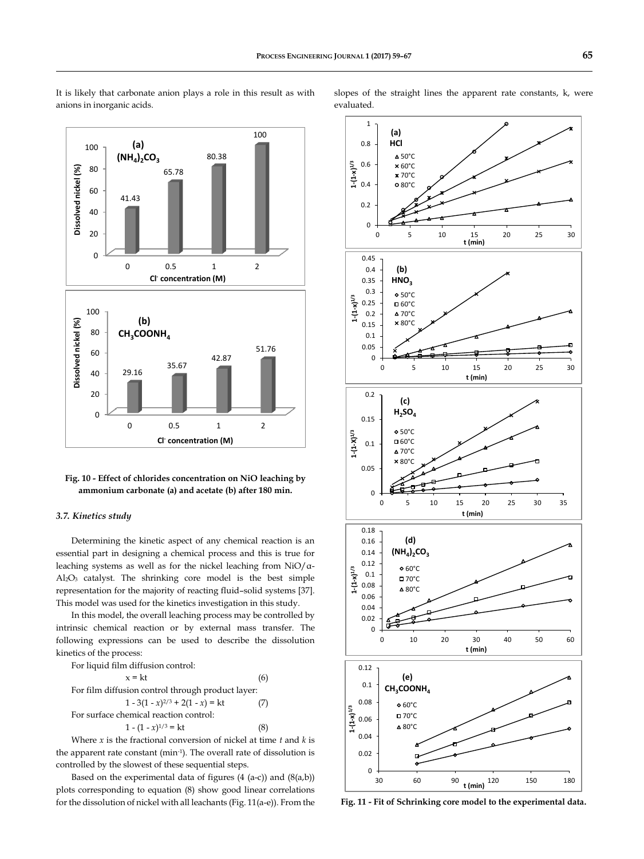

## It is likely that carbonate anion plays a role in this result as with anions in inorganic acids.

slopes of the straight lines the apparent rate constants, k, were evaluated.



**Fig. 10 - Effect of chlorides concentration on NiO leaching by ammonium carbonate (a) and acetate (b) after 180 min.**

#### *3.7. Kinetics study*

Determining the kinetic aspect of any chemical reaction is an essential part in designing a chemical process and this is true for leaching systems as well as for the nickel leaching from NiO/α-Al2O<sup>3</sup> catalyst. The shrinking core model is the best simple representation for the majority of reacting fluid–solid systems [37]. This model was used for the kinetics investigation in this study.

In this model, the overall leaching process may be controlled by intrinsic chemical reaction or by external mass transfer. The following expressions can be used to describe the dissolution kinetics of the process:

For liquid film diffusion control:

 $x = kt$  (6) For film diffusion control through product layer:  $1 - 3(1 - x)^{2/3} + 2(1 - x) = kt$  (7) For surface chemical reaction control:  $1 - (1 - x)^{1/3} = kt$  (8)

Where *x* is the fractional conversion of nickel at time *t* and *k* is the apparent rate constant (min-1 ). The overall rate of dissolution is controlled by the slowest of these sequential steps.

Based on the experimental data of figures  $(4 (a-c))$  and  $(8(a,b))$ plots corresponding to equation (8) show good linear correlations for the dissolution of nickel with all leachants (Fig. 11(a-e)). From the

**Fig. 11 - Fit of Schrinking core model to the experimental data.**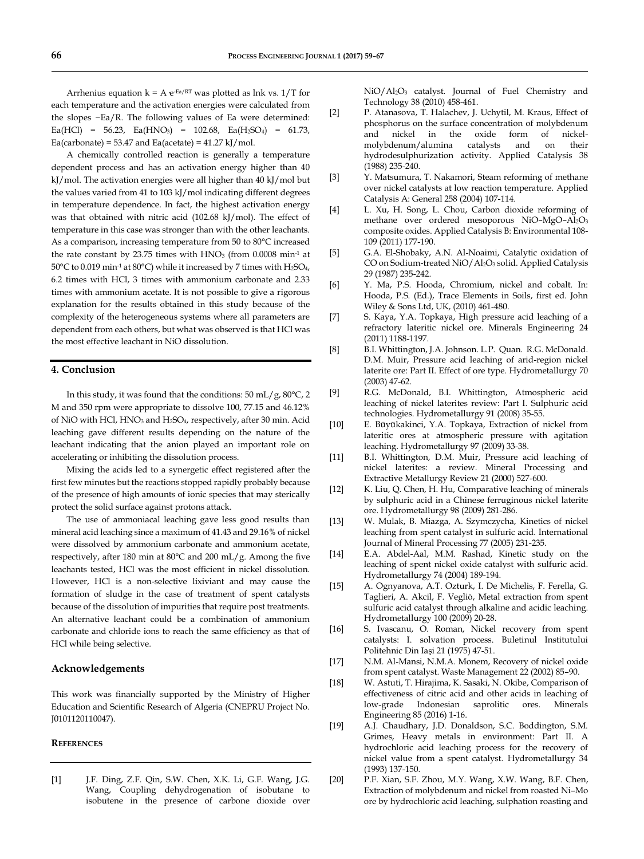Arrhenius equation  $k = A e^{-Ea/RT}$  was plotted as lnk vs.  $1/T$  for each temperature and the activation energies were calculated from the slopes −Ea/R. The following values of Ea were determined: Ea(HCl) = 56.23, Ea(HNO<sub>3</sub>) = 102.68, Ea(H<sub>2</sub>SO<sub>4</sub>) = 61.73,  $Ea(carbonate) = 53.47$  and  $Ea(acetate) = 41.27$  kJ/mol.

A chemically controlled reaction is generally a temperature dependent process and has an activation energy higher than 40 kJ/mol. The activation energies were all higher than 40 kJ/mol but the values varied from 41 to 103 kJ/mol indicating different degrees in temperature dependence. In fact, the highest activation energy was that obtained with nitric acid (102.68 kJ/mol). The effect of temperature in this case was stronger than with the other leachants. As a comparison, increasing temperature from 50 to 80°C increased the rate constant by 23.75 times with  $HNO<sub>3</sub>$  (from 0.0008 min<sup>-1</sup> at 50°C to 0.019 min<sup>-1</sup> at 80°C) while it increased by 7 times with H<sub>2</sub>SO<sub>4</sub>, 6.2 times with HCl, 3 times with ammonium carbonate and 2.33 times with ammonium acetate. It is not possible to give a rigorous explanation for the results obtained in this study because of the complexity of the heterogeneous systems where all parameters are dependent from each others, but what was observed is that HCl was the most effective leachant in NiO dissolution.

#### **4. Conclusion**

In this study, it was found that the conditions:  $50 \text{ mL}/g$ ,  $80^{\circ}\text{C}$ ,  $2$ M and 350 rpm were appropriate to dissolve 100, 77.15 and 46.12% of NiO with HCl, HNO<sub>3</sub> and H<sub>2</sub>SO<sub>4</sub>, respectively, after 30 min. Acid leaching gave different results depending on the nature of the leachant indicating that the anion played an important role on accelerating or inhibiting the dissolution process.

Mixing the acids led to a synergetic effect registered after the first few minutes but the reactions stopped rapidly probably because of the presence of high amounts of ionic species that may sterically protect the solid surface against protons attack.

The use of ammoniacal leaching gave less good results than mineral acid leaching since a maximum of 41.43 and 29.16% of nickel were dissolved by ammonium carbonate and ammonium acetate, respectively, after 180 min at 80°C and 200 mL/g. Among the five leachants tested, HCl was the most efficient in nickel dissolution. However, HCl is a non-selective lixiviant and may cause the formation of sludge in the case of treatment of spent catalysts because of the dissolution of impurities that require post treatments. An alternative leachant could be a combination of ammonium carbonate and chloride ions to reach the same efficiency as that of HCl while being selective.

## **Acknowledgements**

This work was financially supported by the Ministry of Higher Education and Scientific Research of Algeria (CNEPRU Project No. J0101120110047).

# **REFERENCES**

[1] J.F. Ding, Z.F. Qin, S.W. Chen, X.K. Li, G.F. Wang, J.G. Wang, Coupling dehydrogenation of isobutane to isobutene in the presence of carbone dioxide over NiO/Al2O<sup>3</sup> catalyst. Journal of Fuel Chemistry and Technology 38 (2010) 458-461.

- [2] P. Atanasova, T. Halachev, J. Uchytil, M. Kraus, Effect of phosphorus on the surface concentration of molybdenum and nickel in the oxide form of nickelmolybdenum/alumina catalysts and on their hydrodesulphurization activity. Applied Catalysis 38 (1988) 235-240.
- [3] Y. Matsumura, T. Nakamori, Steam reforming of methane over nickel catalysts at low reaction temperature. Applied Catalysis A: General 258 (2004) 107-114.
- [4] L. Xu, H. Song, L. Chou, Carbon dioxide reforming of methane over ordered mesoporous NiO–MgO–Al2O<sup>3</sup> composite oxides. Applied Catalysis B: Environmental 108- 109 (2011) 177-190.
- [5] G.A. El-Shobaky, A.N. Al-Noaimi, Catalytic oxidation of CO on Sodium-treated NiO/Al2O<sup>3</sup> solid. Applied Catalysis 29 (1987) 235-242.
- [6] Y. Ma, P.S. Hooda, Chromium, nickel and cobalt. In: Hooda, P.S. (Ed.), Trace Elements in Soils, first ed. John Wiley & Sons Ltd, UK, (2010) 461-480.
- [7] S. Kaya, Y.A. Topkaya, High pressure acid leaching of a refractory lateritic nickel ore. [Minerals Engineering](http://www.sciencedirect.com/science/journal/08926875) 24 (2011) 1188-1197.
- [8] B.I. Whittington, J.A. Johnson. [L.P. Quan.](http://www.sciencedirect.com/science/article/pii/S0304386X03000446) R.G. McDonald. D.M. [Muir,](http://www.sciencedirect.com/science/article/pii/S0304386X03000446) Pressure acid leaching of arid-region nickel laterite ore: Part II. Effect of ore type. Hydrometallurgy 70 (2003) 47-62.
- [9] R.G. McDonald, B.I. Whittington, Atmospheric acid leaching of nickel laterites review: Part I. Sulphuric acid technologies. Hydrometallurgy 91 (2008) 35-55.
- [10] E. Büyükakinci, Y.A. Topkaya, Extraction of nickel from lateritic ores at atmospheric pressure with agitation leaching. Hydrometallurgy 97 (2009) 33-38.
- [11] B.I. Whittington, D.M. Muir, Pressure acid leaching of nickel laterites: a review. Mineral Processing and Extractive Metallurgy Review 21 (2000) 527-600.
- [12] K. Liu, Q. Chen, H. Hu, Comparative leaching of minerals by sulphuric acid in a Chinese ferruginous nickel laterite ore. Hydrometallurgy 98 (2009) 281-286.
- [13] W. Mulak, B. Miazga, A. Szymczycha, Kinetics of nickel leaching from spent catalyst in sulfuric acid. International Journal of Mineral Processing 77 (2005) 231-235.
- [14] E.A. Abdel-Aal, M.M. Rashad, Kinetic study on the leaching of spent nickel oxide catalyst with sulfuric acid. Hydrometallurgy 74 (2004) 189-194.
- [15] A. Ognyanova, A.T. Ozturk, I. De Michelis, F. Ferella, G. Taglieri, A. Akcil, F. Vegliò, Metal extraction from spent sulfuric acid catalyst through alkaline and acidic leaching. Hydrometallurgy 100 (2009) 20-28.
- [16] S. Ivascanu, O. Roman, Nickel recovery from spent catalysts: I. solvation process. Buletinul Institutului Politehnic Din Iaşi 21 (1975) 47-51.
- [17] N.M. Al-Mansi, N.M.A. Monem, Recovery of nickel oxide from spent catalyst. Waste Management 22 (2002) 85–90.
- [18] W. Astuti, T. Hirajima, K. Sasaki, N. Okibe, Comparison of effectiveness of citric acid and other acids in leaching of low-grade Indonesian saprolitic ores. Minerals Engineering 85 (2016) 1-16.
- [19] A.J. Chaudhary, J.D. Donaldson, S.C. Boddington, S.M. Grimes, Heavy metals in environment: Part II. A hydrochloric acid leaching process for the recovery of nickel value from a spent catalyst. Hydrometallurgy 34 (1993) 137-150.
- [20] P.F. Xian, S.F. Zhou, M.Y. Wang, X.W. Wang, B.F. Chen, Extraction of molybdenum and nickel from roasted Ni–Mo ore by hydrochloric acid leaching, sulphation roasting and